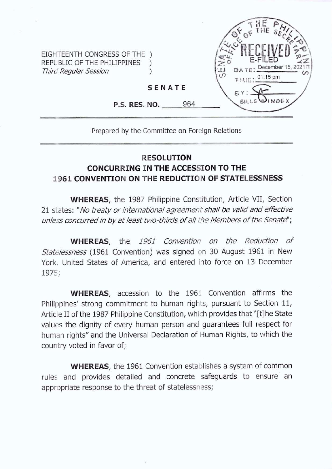EIGHTEENTH CONGRESS OF THE ) REPUBLIC OF THE PHILIPPINES *Third Regular Session )*



**SENATE**

**P.S. RES. NO.** 964

## Prepared by the Committee on Foreign Relations

## **RESOLUTION CONCURRING IN THE ACCESSION TO THE 1961 CONVENTION ON THE REDUCTION OF STATELESSNESS**

**WHEREAS,** the 1987 Philippine Constitution, Article VII, Section 21 states: *"No treaty orinternational agreement shallbe valid and effective unless concurredin byatleast two-thirds ofall the Members ofthe Senatd')*

**WHEREAS,** the *1961 Convention on the Reduction of Statelessness* (1961 Convention) was signed on 30 August 1961 in New York, United States of America, and entered into force on 13 December 1975;

**WHEREAS,** accession to the 1961 Convention affirms the Philippines' strong commitment to human rights, pursuant to Section 11, Article II of the 1987 Philippine Constitution, which provides that "[t]he State values the dignity of every human person and guarantees full respect for human rights" and the Universal Declaration of Human Rights, to which the country voted in favor of;

**WHEREAS,** the 1961 Convention establishes a system of common rules and provides detailed and concrete safeguards to ensure an appropriate response to the threat of statelessness;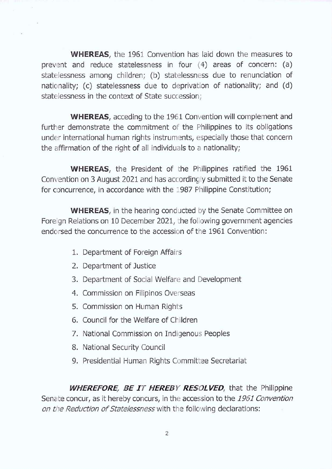**WHEREAS,** the 1961 Convention has laid down the measures to prevent and reduce statelessness in four (4) areas of concern: (a) statelessness among children; (b) statelessness due to renunciation of nationality; (c) statelessness due to deprivation of nationality; and (d) statelessness in the context of State succession;

**WHEREAS,** acceding to the 1961 Convention will complement and further demonstrate the commitment of the Philippines to its obligations under international human rights instruments, especially those that concern the affirmation of the right of all individuals to <sup>a</sup> nationality;

**WHEREAS,** the President of the Philippines ratified the 1961 Convention on 3 August 2021 and has accordingly submitted it to the Senate for concurrence, in accordance with the 1987 Philippine Constitution;

**WHEREAS,** in the hearing conducted by the Senate Committee on Foreign Relations on 10 December 2021, the following government agencies endorsed the concurrence to the accession of the 1961 Convention:

- 1. Department of Foreign Affairs
- 2. Department of Justice
- 3. Department of Social Welfare and Development
- 4. Commission on Filipinos Overseas
- 5. Commission on Human Rights
- 6. Council for the Welfare of Children
- 7. National Commission on Indigenous Peoples
- 8. National Security Council
- 9. Presidential Human Rights Committee Secretariat

*WHEREFORE, BE JT HEREBY RESOLVED,* that the Philippine Senate concur, as it hereby concurs, in the accession to the *1961 Convention on the Reduction of Statelessness* with the following declarations: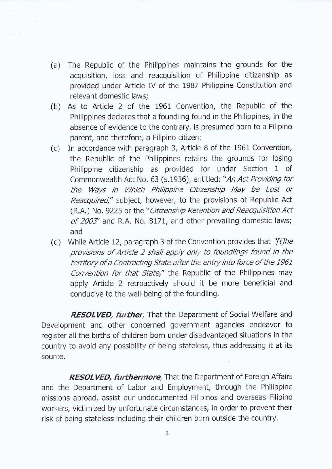(a) The Republic of the Philippines maintains the grounds for the acquisition, loss and reacquisition of Philippine citizenship as provided under Article IV of the 1987 Philippine Constitution and relevant domestic laws;

 $_{\rm x}$  .

- (b) As to Article 2 of the 1961 Convention, the Republic of the Philippines declares that a foundling found in the Philippines, in the absence of evidence to the contrary, is presumed born to a Filipino parent, and therefore, a Filipino citizen;
- (c) In accordance with paragraph 3, Article 8 of the 1961 Convention, the Republic of the Philippines retains the grounds for losing Philippine citizenship as provided for under Section 1 of Commonwealth Act No. 63 (s.1936), entitled: "An Act Providing for *the Ways in Which Philippine Citizenship May be Lost or Reacquired,"* subject, however, to the provisions of Republic Act (R.A.) No. 9225 or the "Citizenship Retention and Reacquisition Act *of 2003'* and R.A. No. 8171, and other prevailing domestic laws; and
- (d) While Article 12, paragraph 3 of the Convention provides that "[t]he *provisions ofArticle 2 shall apply only to foundlings found in the territoryofa ContractingState afterthe entry into force ofthe 1961 Convention for that State,"* the Republic of the Philippines may apply Article 2 retroactively should it be more beneficial and conducive to the well-being of the foundling.

*RESOLVED, further,* That the Department of Social Welfare and Development and other concerned government agencies endeavor to register all the births of children born under disadvantaged situations in the country to avoid any possibility of being stateless, thus addressing it at its source.

*RESOLVED, furthermore,* That the Department of Foreign Affairs and the Department of Labor and Employment, through the Philippine missions abroad, assist our undocumented Filipinos and overseas Filipino workers, victimized by unfortunate circumstances, in order to prevent their risk of being stateless including their children born outside the country.